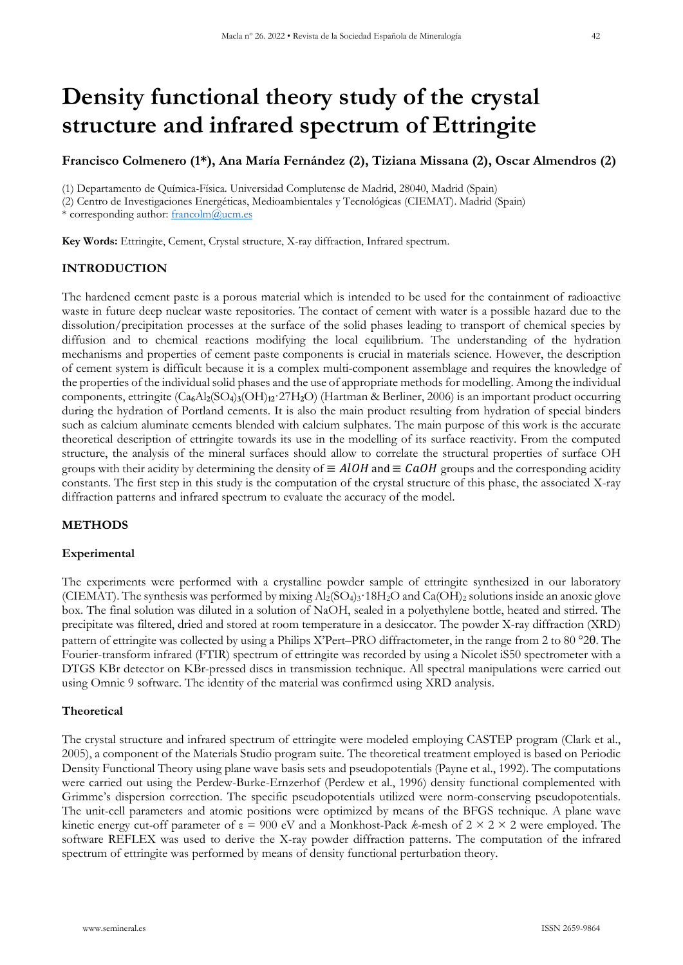# **Density functional theory study of the crystal structure and infrared spectrum of Ettringite**

# **Francisco Colmenero (1\*), Ana María Fernández (2), Tiziana Missana (2), Oscar Almendros (2)**

(1) Departamento de Química-Física. Universidad Complutense de Madrid, 28040, Madrid (Spain)

(2) Centro de Investigaciones Energéticas, Medioambientales y Tecnológicas (CIEMAT). Madrid (Spain)

\* corresponding author: [francolm@ucm.es](mailto:francolm@ucm.es)

**Key Words:** Ettringite, Cement, Crystal structure, X-ray diffraction, Infrared spectrum.

## **INTRODUCTION**

The hardened cement paste is a porous material which is intended to be used for the containment of radioactive waste in future deep nuclear waste repositories. The contact of cement with water is a possible hazard due to the dissolution/precipitation processes at the surface of the solid phases leading to transport of chemical species by diffusion and to chemical reactions modifying the local equilibrium. The understanding of the hydration mechanisms and properties of cement paste components is crucial in materials science. However, the description of cement system is difficult because it is a complex multi-component assemblage and requires the knowledge of the properties of the individual solid phases and the use of appropriate methods for modelling. Among the individual components, ettringite (Ca**6**Al**2**(SO**4**)**3**(OH)**12**·27H**2**O) (Hartman & Berliner, 2006) is an important product occurring during the hydration of Portland cements. It is also the main product resulting from hydration of special binders such as calcium aluminate cements blended with calcium sulphates. The main purpose of this work is the accurate theoretical description of ettringite towards its use in the modelling of its surface reactivity. From the computed structure, the analysis of the mineral surfaces should allow to correlate the structural properties of surface OH groups with their acidity by determining the density of  $\equiv AIOH$  and  $\equiv CaOH$  groups and the corresponding acidity constants. The first step in this study is the computation of the crystal structure of this phase, the associated X-ray diffraction patterns and infrared spectrum to evaluate the accuracy of the model.

# **METHODS**

## **Experimental**

The experiments were performed with a crystalline powder sample of ettringite synthesized in our laboratory (CIEMAT). The synthesis was performed by mixing  $Al_2(SO_4)_3$ : 18H<sub>2</sub>O and Ca(OH)<sub>2</sub> solutions inside an anoxic glove box. The final solution was diluted in a solution of NaOH, sealed in a polyethylene bottle, heated and stirred. The precipitate was filtered, dried and stored at room temperature in a desiccator. The powder X-ray diffraction (XRD) pattern of ettringite was collected by using a Philips X'Pert–PRO diffractometer, in the range from 2 to 80 °2θ. The Fourier-transform infrared (FTIR) spectrum of ettringite was recorded by using a Nicolet iS50 spectrometer with a DTGS KBr detector on KBr-pressed discs in transmission technique. All spectral manipulations were carried out using Omnic 9 software. The identity of the material was confirmed using XRD analysis.

#### **Theoretical**

The crystal structure and infrared spectrum of ettringite were modeled employing CASTEP program (Clark et al., 2005), a component of the Materials Studio program suite. The theoretical treatment employed is based on Periodic Density Functional Theory using plane wave basis sets and pseudopotentials (Payne et al., 1992). The computations were carried out using the Perdew-Burke-Ernzerhof (Perdew et al., 1996) density functional complemented with Grimme's dispersion correction. The specific pseudopotentials utilized were norm-conserving pseudopotentials. The unit-cell parameters and atomic positions were optimized by means of the BFGS technique. A plane wave kinetic energy cut-off parameter of ε = 900 eV and a Monkhost-Pack *k*-mesh of 2 × 2 × 2 were employed. The software REFLEX was used to derive the X-ray powder diffraction patterns. The computation of the infrared spectrum of ettringite was performed by means of density functional perturbation theory.